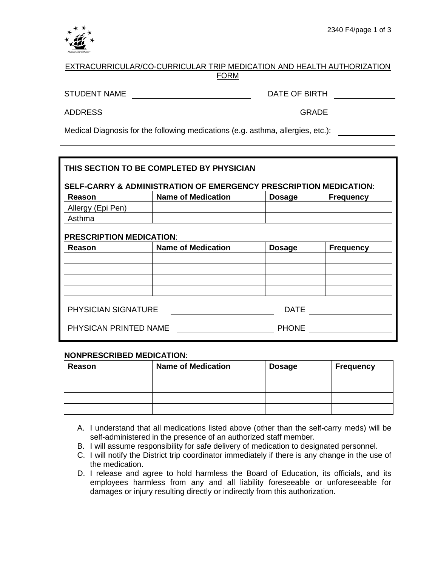

| EXTRACURRICULAR/CO-CURRICULAR TRIP MEDICATION AND HEALTH AUTHORIZATION |
|------------------------------------------------------------------------|
| <b>FORM</b>                                                            |
|                                                                        |

STUDENT NAME

DATE OF BIRTH

ADDRESS GRADE

Medical Diagnosis for the following medications (e.g. asthma, allergies, etc.):

| THIS SECTION TO BE COMPLETED BY PHYSICIAN<br>SELF-CARRY & ADMINISTRATION OF EMERGENCY PRESCRIPTION MEDICATION: |                           |               |                  |  |
|----------------------------------------------------------------------------------------------------------------|---------------------------|---------------|------------------|--|
| Reason                                                                                                         | <b>Name of Medication</b> | <b>Dosage</b> | <b>Frequency</b> |  |
| Allergy (Epi Pen)                                                                                              |                           |               |                  |  |
| Asthma                                                                                                         |                           |               |                  |  |
| <b>PRESCRIPTION MEDICATION:</b>                                                                                |                           |               |                  |  |
| Reason                                                                                                         | <b>Name of Medication</b> | <b>Dosage</b> | <b>Frequency</b> |  |
|                                                                                                                |                           |               |                  |  |
|                                                                                                                |                           |               |                  |  |
|                                                                                                                |                           |               |                  |  |
|                                                                                                                |                           |               |                  |  |
| <b>PHYSICIAN SIGNATURE</b>                                                                                     |                           | DATE          |                  |  |
| PHYSICAN PRINTED NAME                                                                                          |                           | <b>PHONE</b>  |                  |  |

## **NONPRESCRIBED MEDICATION**:

| Reason | <b>Name of Medication</b> | <b>Dosage</b> | Frequency |
|--------|---------------------------|---------------|-----------|
|        |                           |               |           |
|        |                           |               |           |
|        |                           |               |           |
|        |                           |               |           |

- A. I understand that all medications listed above (other than the self-carry meds) will be self-administered in the presence of an authorized staff member.
- B. I will assume responsibility for safe delivery of medication to designated personnel.
- C. I will notify the District trip coordinator immediately if there is any change in the use of the medication.
- D. I release and agree to hold harmless the Board of Education, its officials, and its employees harmless from any and all liability foreseeable or unforeseeable for damages or injury resulting directly or indirectly from this authorization.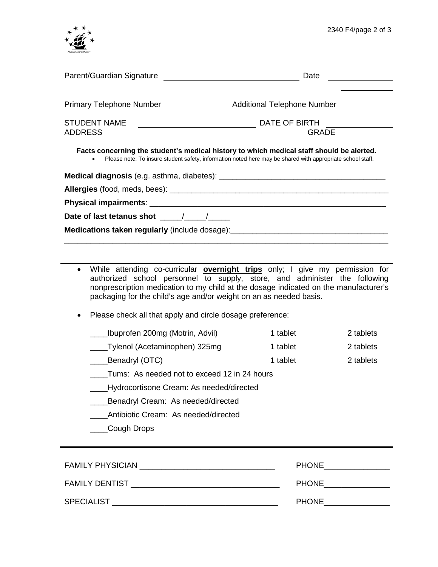

| Parent/Guardian Signature       | Date                                                                                                                                                                                                   |
|---------------------------------|--------------------------------------------------------------------------------------------------------------------------------------------------------------------------------------------------------|
| <b>Primary Telephone Number</b> | <b>Additional Telephone Number</b>                                                                                                                                                                     |
| <b>STUDENT NAME</b>             | DATE OF BIRTH                                                                                                                                                                                          |
| <b>ADDRESS</b>                  | <b>GRADE</b>                                                                                                                                                                                           |
|                                 | Facts concerning the student's medical history to which medical staff should be alerted.<br>Please note: To insure student safety, information noted here may be shared with appropriate school staff. |

| Date of last tetanus shot the state of last text of the state of the state of the state of the state of the state of the state of the state of the state of the state of the state of the state of the state of the state of t |
|--------------------------------------------------------------------------------------------------------------------------------------------------------------------------------------------------------------------------------|
| Medications taken regularly (include dosage): __________________________________                                                                                                                                               |
|                                                                                                                                                                                                                                |

- While attending co-curricular **overnight trips** only; I give my permission for authorized school personnel to supply, store, and administer the following nonprescription medication to my child at the dosage indicated on the manufacturer's packaging for the child's age and/or weight on an as needed basis.
- Please check all that apply and circle dosage preference:
	- \_\_\_\_Ibuprofen 200mg (Motrin, Advil) 1 tablet 2 tablets \_\_\_\_Tylenol (Acetaminophen) 325mg 1 tablet 2 tablets
	- Lablet 2 tablets 2 tablet 2 tablet 2 tablets
	- \_\_\_\_Tums: As needed not to exceed 12 in 24 hours
	- \_\_\_\_Hydrocortisone Cream: As needed/directed
	- \_\_\_\_Benadryl Cream: As needed/directed
	- \_\_\_\_Antibiotic Cream: As needed/directed
	- $\_$ Cough Drops

| <b>FAMILY PHYSICIAN</b> | <b>PHONE</b> |
|-------------------------|--------------|
| <b>FAMILY DENTIST</b>   | <b>PHONE</b> |
| <b>SPECIALIST</b>       | <b>PHONE</b> |